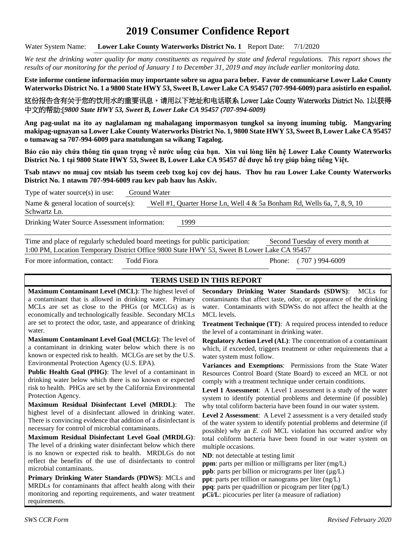## **2019 Consumer Confidence Report**

Water System Name: **Lower Lake County Waterworks District No. 1** Report Date: 7/1/2020

*We test the drinking water quality for many constituents as required by state and federal regulations. This report shows the results of our monitoring for the period of January 1 to December 31, 2019 and may include earlier monitoring data.*

**Este informe contiene información muy importante sobre su agua para beber. Favor de comunicarse Lower Lake County Waterworks District No. 1 a 9800 State HWY 53, Sweet B, Lower Lake CA 95457 (707-994-6009) para asistirlo en español.**

这份报告含有关于您的饮用水的重要讯息。请用以下地址和电话联系 Lower Lake County Waterworks District No. 1以获得 中文的帮助:[*9800 State HWY 53, Sweet B, Lower Lake CA 95457 (707-994-6009)*

**Ang pag-uulat na ito ay naglalaman ng mahalagang impormasyon tungkol sa inyong inuming tubig. Mangyaring makipag-ugnayan sa Lower Lake County Waterworks District No. 1, 9800 State HWY 53, Sweet B, Lower Lake CA 95457 o tumawag sa 707-994-6009 para matulungan sa wikang Tagalog.**

**Báo cáo này chứa thông tin quan trọng về nước uống của bạn. Xin vui lòng liên hệ Lower Lake County Waterworks District No. 1 tại 9800 State HWY 53, Sweet B, Lower Lake CA 95457 để được hỗ trợ giúp bằng tiếng Việt.**

**Tsab ntawv no muaj cov ntsiab lus tseem ceeb txog koj cov dej haus. Thov hu rau Lower Lake County Waterworks District No. 1 ntawm 707-994-6009 rau kev pab hauv lus Askiv.**

| Type of water source $(s)$ in use:            | Ground Water |                                                                            |  |  |  |  |  |
|-----------------------------------------------|--------------|----------------------------------------------------------------------------|--|--|--|--|--|
| Name $\&$ general location of source(s):      |              | Well #1, Quarter Horse Ln, Well $4 \& 5a$ Bonham Rd, Wells 6a, 7, 8, 9, 10 |  |  |  |  |  |
| Schwartz Ln.                                  |              |                                                                            |  |  |  |  |  |
| Drinking Water Source Assessment information: |              | 1999                                                                       |  |  |  |  |  |

Time and place of regularly scheduled board meetings for public participation: Second Tuesday of every month at 1:00 PM, Location Temporary District Office 9800 State HWY 53, Sweet B Lower Lake CA 95457

For more information, contact: Todd Fiora Phone: (707) 994-6009

## **TERMS USED IN THIS REPORT**

**Maximum Contaminant Level (MCL)**: The highest level of a contaminant that is allowed in drinking water. Primary MCLs are set as close to the PHGs (or MCLGs) as is economically and technologically feasible. Secondary MCLs are set to protect the odor, taste, and appearance of drinking water.

**Maximum Contaminant Level Goal (MCLG)**: The level of a contaminant in drinking water below which there is no known or expected risk to health. MCLGs are set by the U.S. Environmental Protection Agency (U.S. EPA).

**Public Health Goal (PHG)**: The level of a contaminant in drinking water below which there is no known or expected risk to health. PHGs are set by the California Environmental Protection Agency.

**Maximum Residual Disinfectant Level (MRDL)**: The highest level of a disinfectant allowed in drinking water. There is convincing evidence that addition of a disinfectant is necessary for control of microbial contaminants.

**Maximum Residual Disinfectant Level Goal (MRDLG)**: The level of a drinking water disinfectant below which there is no known or expected risk to health. MRDLGs do not reflect the benefits of the use of disinfectants to control microbial contaminants.

**Primary Drinking Water Standards (PDWS)**: MCLs and MRDLs for contaminants that affect health along with their monitoring and reporting requirements, and water treatment requirements.

**Secondary Drinking Water Standards (SDWS)**:MCLs for contaminants that affect taste, odor, or appearance of the drinking water. Contaminants with SDWSs do not affect the health at the MCL levels.

**Treatment Technique (TT)**: A required process intended to reduce the level of a contaminant in drinking water.

**Regulatory Action Level (AL)**: The concentration of a contaminant which, if exceeded, triggers treatment or other requirements that a water system must follow.

**Variances and Exemptions**: Permissions from the State Water Resources Control Board (State Board) to exceed an MCL or not comply with a treatment technique under certain conditions.

**Level 1 Assessment**: A Level 1 assessment is a study of the water system to identify potential problems and determine (if possible) why total coliform bacteria have been found in our water system.

**Level 2 Assessment**: A Level 2 assessment is a very detailed study of the water system to identify potential problems and determine (if possible) why an *E. coli* MCL violation has occurred and/or why total coliform bacteria have been found in our water system on multiple occasions.

**ND**: not detectable at testing limit

**ppm**: parts per million or milligrams per liter (mg/L)

**ppb**: parts per billion or micrograms per liter  $(\mu g/L)$ 

**ppt**: parts per trillion or nanograms per liter (ng/L)

**ppq**: parts per quadrillion or picogram per liter (pg/L)

**pCi/L**: picocuries per liter (a measure of radiation)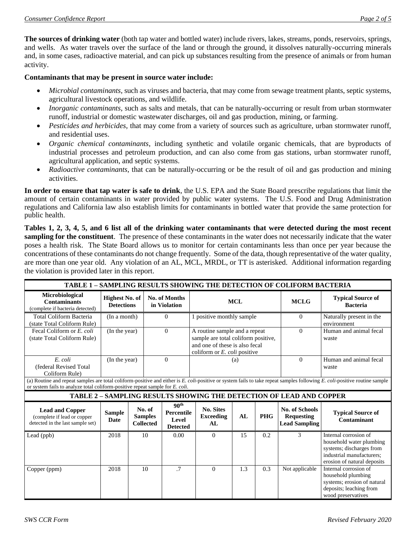**The sources of drinking water** (both tap water and bottled water) include rivers, lakes, streams, ponds, reservoirs, springs, and wells. As water travels over the surface of the land or through the ground, it dissolves naturally-occurring minerals and, in some cases, radioactive material, and can pick up substances resulting from the presence of animals or from human activity.

#### **Contaminants that may be present in source water include:**

- *Microbial contaminants*, such as viruses and bacteria, that may come from sewage treatment plants, septic systems, agricultural livestock operations, and wildlife.
- *Inorganic contaminants*, such as salts and metals, that can be naturally-occurring or result from urban stormwater runoff, industrial or domestic wastewater discharges, oil and gas production, mining, or farming.
- *Pesticides and herbicides*, that may come from a variety of sources such as agriculture, urban stormwater runoff, and residential uses.
- *Organic chemical contaminants*, including synthetic and volatile organic chemicals, that are byproducts of industrial processes and petroleum production, and can also come from gas stations, urban stormwater runoff, agricultural application, and septic systems.
- *Radioactive contaminants*, that can be naturally-occurring or be the result of oil and gas production and mining activities.

**In order to ensure that tap water is safe to drink**, the U.S. EPA and the State Board prescribe regulations that limit the amount of certain contaminants in water provided by public water systems. The U.S. Food and Drug Administration regulations and California law also establish limits for contaminants in bottled water that provide the same protection for public health.

**Tables 1, 2, 3, 4, 5, and 6 list all of the drinking water contaminants that were detected during the most recent sampling for the constituent**. The presence of these contaminants in the water does not necessarily indicate that the water poses a health risk. The State Board allows us to monitor for certain contaminants less than once per year because the concentrations of these contaminants do not change frequently. Some of the data, though representative of the water quality, are more than one year old. Any violation of an AL, MCL, MRDL, or TT is asterisked. Additional information regarding the violation is provided later in this report.

| TABLE 1 - SAMPLING RESULTS SHOWING THE DETECTION OF COLIFORM BACTERIA                                                                                                                                                                                       |                                            |  |                                              |                                                                   |                                                                                                                                                  |     |            |                                                                     |                                                                                                                                           |
|-------------------------------------------------------------------------------------------------------------------------------------------------------------------------------------------------------------------------------------------------------------|--------------------------------------------|--|----------------------------------------------|-------------------------------------------------------------------|--------------------------------------------------------------------------------------------------------------------------------------------------|-----|------------|---------------------------------------------------------------------|-------------------------------------------------------------------------------------------------------------------------------------------|
| Microbiological<br><b>Contaminants</b><br>(complete if bacteria detected)                                                                                                                                                                                   | <b>Highest No. of</b><br><b>Detections</b> |  | No. of Months<br>in Violation                |                                                                   | <b>MCL</b>                                                                                                                                       |     |            | <b>MCLG</b>                                                         | <b>Typical Source of</b><br><b>Bacteria</b>                                                                                               |
| Total Coliform Bacteria<br>(state Total Coliform Rule)                                                                                                                                                                                                      | (In a month)                               |  | $\Omega$                                     |                                                                   | 1 positive monthly sample                                                                                                                        |     |            | $\Omega$                                                            | Naturally present in the<br>environment                                                                                                   |
| Fecal Coliform or E. coli<br>(state Total Coliform Rule)                                                                                                                                                                                                    | (In the year)                              |  | $\Omega$                                     |                                                                   | A routine sample and a repeat<br>sample are total coliform positive,<br>and one of these is also fecal<br>coliform or $E$ , <i>coli</i> positive |     | $\Omega$   | Human and animal fecal<br>waste                                     |                                                                                                                                           |
| E. coli<br>(federal Revised Total<br>Coliform Rule)                                                                                                                                                                                                         | (In the year)                              |  |                                              | $\Omega$                                                          |                                                                                                                                                  | (a) |            | $\Omega$                                                            | Human and animal fecal<br>waste                                                                                                           |
| (a) Routine and repeat samples are total coliform-positive and either is E. coli-positive or system fails to take repeat samples following E. coli-positive routine sample<br>or system fails to analyze total coliform-positive repeat sample for E. coli. |                                            |  |                                              |                                                                   |                                                                                                                                                  |     |            |                                                                     |                                                                                                                                           |
|                                                                                                                                                                                                                                                             |                                            |  |                                              |                                                                   |                                                                                                                                                  |     |            | TABLE 2 - SAMPLING RESULTS SHOWING THE DETECTION OF LEAD AND COPPER |                                                                                                                                           |
| <b>Lead and Copper</b><br>(complete if lead or copper<br>detected in the last sample set)                                                                                                                                                                   | <b>Sample</b><br><b>Date</b>               |  | No. of<br><b>Samples</b><br><b>Collected</b> | 90 <sup>th</sup><br><b>Percentile</b><br>Level<br><b>Detected</b> | <b>No. Sites</b><br><b>Exceeding</b><br>AL                                                                                                       | AL  | <b>PHG</b> | <b>No. of Schools</b><br><b>Requesting</b><br><b>Lead Sampling</b>  | <b>Typical Source of</b><br>Contaminant                                                                                                   |
| Lead (ppb)                                                                                                                                                                                                                                                  | 2018                                       |  | 10                                           | 0.00                                                              | $\Omega$                                                                                                                                         | 15  | 0.2        | 3                                                                   | Internal corrosion of<br>household water plumbing<br>systems; discharges from<br>industrial manufacturers;<br>erosion of natural deposits |
| Copper (ppm)                                                                                                                                                                                                                                                | 2018                                       |  | 10                                           | $\cdot$ 7                                                         | $\Omega$                                                                                                                                         | 1.3 | 0.3        | Not applicable                                                      | Internal corrosion of<br>household plumbing<br>systems; erosion of natural<br>deposits; leaching from<br>wood preservatives               |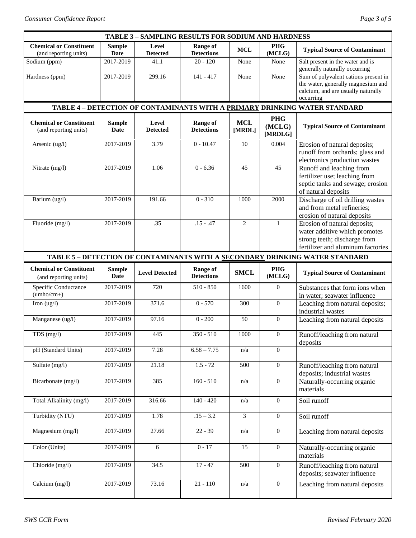| <b>TABLE 3 - SAMPLING RESULTS FOR SODIUM AND HARDNESS</b> |                              |                          |                                      |                      |                                 |                                                                                                                                    |  |  |  |
|-----------------------------------------------------------|------------------------------|--------------------------|--------------------------------------|----------------------|---------------------------------|------------------------------------------------------------------------------------------------------------------------------------|--|--|--|
| <b>Chemical or Constituent</b><br>(and reporting units)   | <b>Sample</b><br>Date        | Level<br><b>Detected</b> | <b>Range of</b><br><b>Detections</b> | MCL                  | <b>PHG</b><br>(MCLG)            | <b>Typical Source of Contaminant</b>                                                                                               |  |  |  |
| Sodium (ppm)                                              | 2017-2019                    | 41.1                     | $20 - 120$                           | None                 | None                            | Salt present in the water and is<br>generally naturally occurring                                                                  |  |  |  |
| Hardness (ppm)                                            | 2017-2019                    | 299.16                   | $141 - 417$                          | None                 | None                            | Sum of polyvalent cations present in<br>the water, generally magnesium and<br>calcium, and are usually naturally<br>occurring      |  |  |  |
|                                                           |                              |                          |                                      |                      |                                 | TABLE 4 - DETECTION OF CONTAMINANTS WITH A PRIMARY DRINKING WATER STANDARD                                                         |  |  |  |
| <b>Chemical or Constituent</b><br>(and reporting units)   | <b>Sample</b><br><b>Date</b> | Level<br><b>Detected</b> | <b>Range of</b><br><b>Detections</b> | <b>MCL</b><br>[MRDL] | <b>PHG</b><br>(MCLG)<br>[MRDLG] | <b>Typical Source of Contaminant</b>                                                                                               |  |  |  |
| Arsenic (ug/l)                                            | 2017-2019                    | 3.79                     | $0 - 10.47$                          | 10                   | 0.004                           | Erosion of natural deposits;<br>runoff from orchards; glass and<br>electronics production wastes                                   |  |  |  |
| Nitrate (mg/l)                                            | 2017-2019                    | 1.06                     | $0 - 6.36$                           | 45                   | 45                              | Runoff and leaching from<br>fertilizer use; leaching from<br>septic tanks and sewage; erosion<br>of natural deposits               |  |  |  |
| Barium (ug/l)                                             | 2017-2019                    | 191.66                   | $0 - 310$                            | 1000                 | 2000                            | Discharge of oil drilling wastes<br>and from metal refineries;<br>erosion of natural deposits                                      |  |  |  |
| Fluoride (mg/l)                                           | 2017-2019                    | .35                      | $.15 - .47$                          | $\overline{c}$       | 1                               | Erosion of natural deposits;<br>water additive which promotes<br>strong teeth; discharge from<br>fertilizer and aluminum factories |  |  |  |
|                                                           |                              |                          |                                      |                      |                                 | TABLE 5 - DETECTION OF CONTAMINANTS WITH A SECONDARY DRINKING WATER STANDARD                                                       |  |  |  |
| <b>Chemical or Constituent</b><br>(and reporting units)   | <b>Sample</b><br><b>Date</b> | <b>Level Detected</b>    | <b>Range of</b><br><b>Detections</b> | <b>SMCL</b>          | <b>PHG</b><br>(MCLG)            | <b>Typical Source of Contaminant</b>                                                                                               |  |  |  |
| Specific Conductance<br>$(umbo/cm+)$                      | 2017-2019                    | 720                      | $510 - 850$                          | 1600                 | $\theta$                        | Substances that form ions when<br>in water; seawater influence                                                                     |  |  |  |
| Iron $(ug/l)$                                             | 2017-2019                    | 371.6                    | $0 - 570$                            | 300                  | $\overline{0}$                  | Leaching from natural deposits;                                                                                                    |  |  |  |
| Manganese (ug/l)                                          | 2017-2019                    | 97.16                    | $0 - 200$                            |                      |                                 | industrial wastes                                                                                                                  |  |  |  |
| TDS (mg/l)                                                |                              |                          |                                      | 50                   | $\overline{0}$                  | Leaching from natural deposits                                                                                                     |  |  |  |
|                                                           | 2017-2019                    | 445                      | $350 - 510$                          | 1000                 | $\boldsymbol{0}$                | Runoff/leaching from natural<br>deposits                                                                                           |  |  |  |
| pH (Standard Units)                                       | 2017-2019                    | 7.28                     | $6.58 - 7.75$                        | n/a                  | $\theta$                        |                                                                                                                                    |  |  |  |
| Sulfate (mg/l)                                            | 2017-2019                    | 21.18                    | $1.5 - 72$                           | 500                  | $\boldsymbol{0}$                | Runoff/leaching from natural                                                                                                       |  |  |  |
| Bicarbonate (mg/l)                                        | 2017-2019                    | 385                      | $160 - 510$                          | n/a                  | $\boldsymbol{0}$                | deposits; industrial wastes<br>Naturally-occurring organic<br>materials                                                            |  |  |  |
| Total Alkalinity (mg/l)                                   | 2017-2019                    | 316.66                   | $140 - 420$                          | n/a                  | $\theta$                        | Soil runoff                                                                                                                        |  |  |  |
| Turbidity (NTU)                                           | 2017-2019                    | 1.78                     | $.15 - 3.2$                          | 3                    | $\overline{0}$                  | Soil runoff                                                                                                                        |  |  |  |
| Magnesium (mg/l)                                          | 2017-2019                    | 27.66                    | $22 - 39$                            | n/a                  | $\boldsymbol{0}$                | Leaching from natural deposits                                                                                                     |  |  |  |
| Color (Units)                                             | 2017-2019                    | 6                        | $0 - 17$                             | 15                   | $\overline{0}$                  | Naturally-occurring organic<br>materials                                                                                           |  |  |  |
| Chloride (mg/l)                                           | 2017-2019<br>2017-2019       | 34.5<br>73.16            | $17 - 47$<br>$21 - 110$              | 500                  | $\boldsymbol{0}$                | Runoff/leaching from natural<br>deposits; seawater influence                                                                       |  |  |  |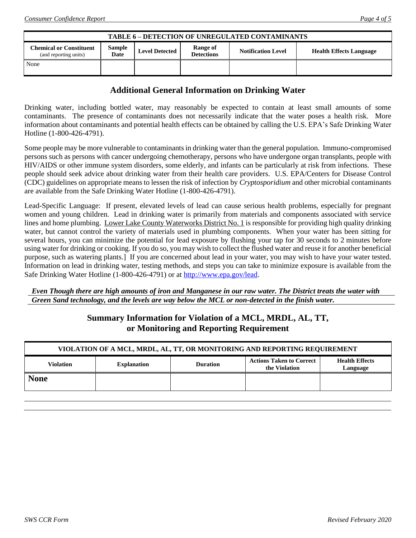| <b>TABLE 6 - DETECTION OF UNREGULATED CONTAMINANTS</b>  |                |                       |                               |                           |                                |  |  |
|---------------------------------------------------------|----------------|-----------------------|-------------------------------|---------------------------|--------------------------------|--|--|
| <b>Chemical or Constituent</b><br>(and reporting units) | Sample<br>Date | <b>Level Detected</b> | Range of<br><b>Detections</b> | <b>Notification Level</b> | <b>Health Effects Language</b> |  |  |
| None                                                    |                |                       |                               |                           |                                |  |  |

## **Additional General Information on Drinking Water**

Drinking water, including bottled water, may reasonably be expected to contain at least small amounts of some contaminants. The presence of contaminants does not necessarily indicate that the water poses a health risk. More information about contaminants and potential health effects can be obtained by calling the U.S. EPA's Safe Drinking Water Hotline (1-800-426-4791).

Some people may be more vulnerable to contaminants in drinking water than the general population. Immuno-compromised persons such as persons with cancer undergoing chemotherapy, persons who have undergone organ transplants, people with HIV/AIDS or other immune system disorders, some elderly, and infants can be particularly at risk from infections. These people should seek advice about drinking water from their health care providers. U.S. EPA/Centers for Disease Control (CDC) guidelines on appropriate means to lessen the risk of infection by *Cryptosporidium* and other microbial contaminants are available from the Safe Drinking Water Hotline (1-800-426-4791).

Lead-Specific Language: If present, elevated levels of lead can cause serious health problems, especially for pregnant women and young children. Lead in drinking water is primarily from materials and components associated with service lines and home plumbing. Lower Lake County Waterworks District No. 1 is responsible for providing high quality drinking water, but cannot control the variety of materials used in plumbing components. When your water has been sitting for several hours, you can minimize the potential for lead exposure by flushing your tap for 30 seconds to 2 minutes before using water for drinking or cooking. If you do so, you may wish to collect the flushed water and reuse it for another beneficial purpose, such as watering plants.] If you are concerned about lead in your water, you may wish to have your water tested. Information on lead in drinking water, testing methods, and steps you can take to minimize exposure is available from the Safe Drinking Water Hotline (1-800-426-4791) or at [http://www.epa.gov/lead.](http://www.epa.gov/lead)

#### *Even Though there are high amounts of iron and Manganese in our raw water. The District treats the water with Green Sand technology, and the levels are way below the MCL or non-detected in the finish water.*

## **Summary Information for Violation of a MCL, MRDL, AL, TT, or Monitoring and Reporting Requirement**

| VIOLATION OF A MCL, MRDL, AL, TT, OR MONITORING AND REPORTING REQUIREMENT |                    |                 |                                                  |                                   |  |  |  |
|---------------------------------------------------------------------------|--------------------|-----------------|--------------------------------------------------|-----------------------------------|--|--|--|
| <b>Violation</b>                                                          | <b>Explanation</b> | <b>Duration</b> | <b>Actions Taken to Correct</b><br>the Violation | <b>Health Effects</b><br>Language |  |  |  |
| <b>None</b>                                                               |                    |                 |                                                  |                                   |  |  |  |